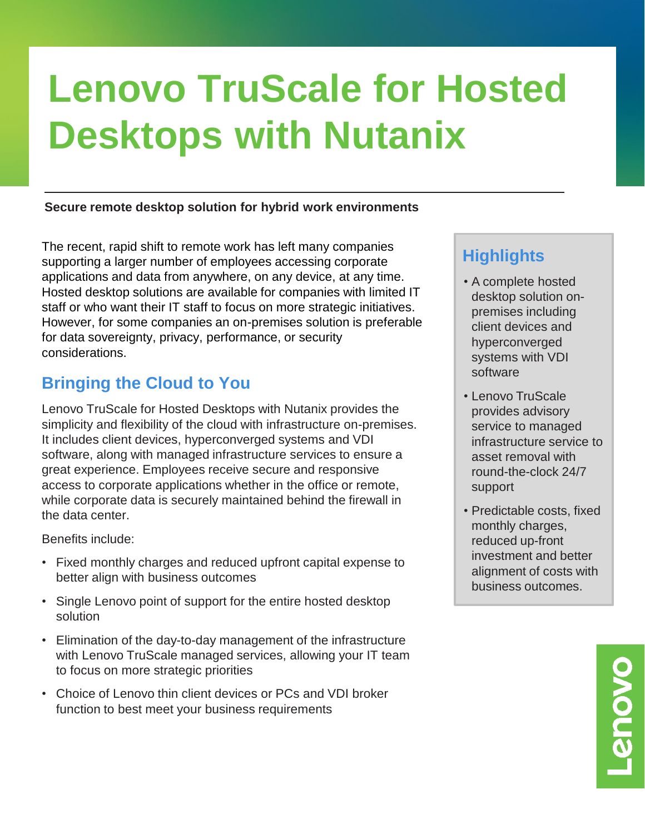# **Lenovo TruScale for Hosted Desktops with Nutanix**

#### **Secure remote desktop solution for hybrid work environments**

The recent, rapid shift to remote work has left many companies supporting a larger number of employees accessing corporate applications and data from anywhere, on any device, at any time. Hosted desktop solutions are available for companies with limited IT staff or who want their IT staff to focus on more strategic initiatives. However, for some companies an on-premises solution is preferable for data sovereignty, privacy, performance, or security considerations.

### **Bringing the Cloud to You**

Lenovo TruScale for Hosted Desktops with Nutanix provides the simplicity and flexibility of the cloud with infrastructure on-premises. It includes client devices, hyperconverged systems and VDI software, along with managed infrastructure services to ensure a great experience. Employees receive secure and responsive access to corporate applications whether in the office or remote, while corporate data is securely maintained behind the firewall in the data center.

Benefits include:

- Fixed monthly charges and reduced upfront capital expense to better align with business outcomes
- Single Lenovo point of support for the entire hosted desktop solution
- Elimination of the day-to-day management of the infrastructure with Lenovo TruScale managed services, allowing your IT team to focus on more strategic priorities
- Choice of Lenovo thin client devices or PCs and VDI broker function to best meet your business requirements

# **Highlights**

- A complete hosted desktop solution onpremises including client devices and hyperconverged systems with VDI software
- Lenovo TruScale provides advisory service to managed infrastructure service to asset removal with round-the-clock 24/7 support
- Predictable costs, fixed monthly charges, reduced up-front investment and better alignment of costs with business outcomes.

**OVOUS**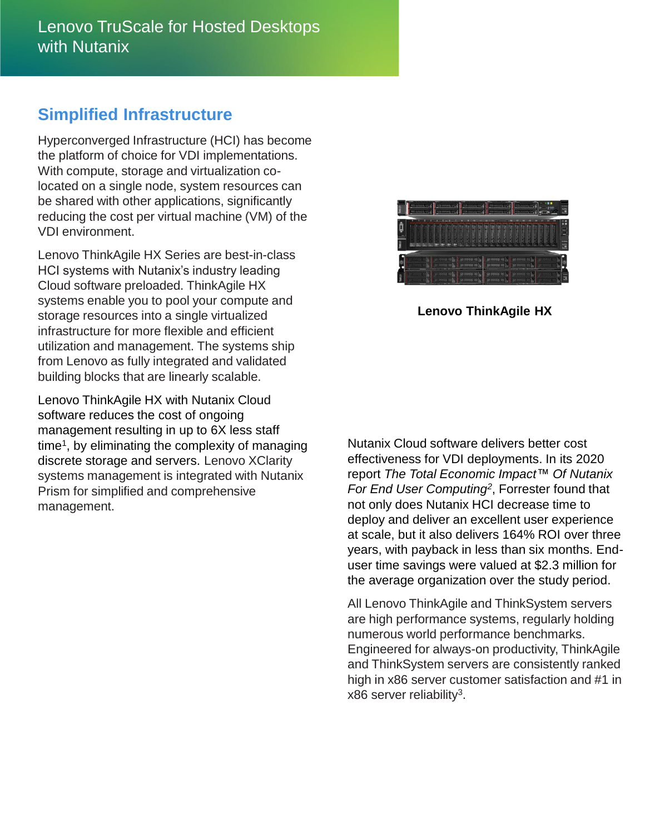#### **Simplified Infrastructure**

Hyperconverged Infrastructure (HCI) has become the platform of choice for VDI implementations. With compute, storage and virtualization colocated on a single node, system resources can be shared with other applications, significantly reducing the cost per virtual machine (VM) of the VDI environment.

Lenovo ThinkAgile HX Series are best-in-class HCI systems with Nutanix's industry leading Cloud software preloaded. ThinkAgile HX systems enable you to pool your compute and storage resources into a single virtualized infrastructure for more flexible and efficient utilization and management. The systems ship from Lenovo as fully integrated and validated building blocks that are linearly scalable.

Lenovo ThinkAgile HX with Nutanix Cloud software reduces the cost of ongoing management resulting in up to 6X less staff time<sup>1</sup>, by eliminating the complexity of managing discrete storage and servers. Lenovo XClarity systems management is integrated with Nutanix Prism for simplified and comprehensive management.



**Lenovo ThinkAgile HX**

Nutanix Cloud software delivers better cost effectiveness for VDI deployments. In its 2020 report *The Total Economic Impact™ Of Nutanix For End User Computing<sup>2</sup>* , Forrester found that not only does Nutanix HCI decrease time to deploy and deliver an excellent user experience at scale, but it also delivers 164% ROI over three years, with payback in less than six months. Enduser time savings were valued at \$2.3 million for the average organization over the study period.

All Lenovo ThinkAgile and ThinkSystem servers are high performance systems, regularly holding numerous world performance benchmarks. Engineered for always-on productivity, ThinkAgile and ThinkSystem servers are consistently ranked high in x86 server customer satisfaction and #1 in  $x86$  server reliability<sup>3</sup>.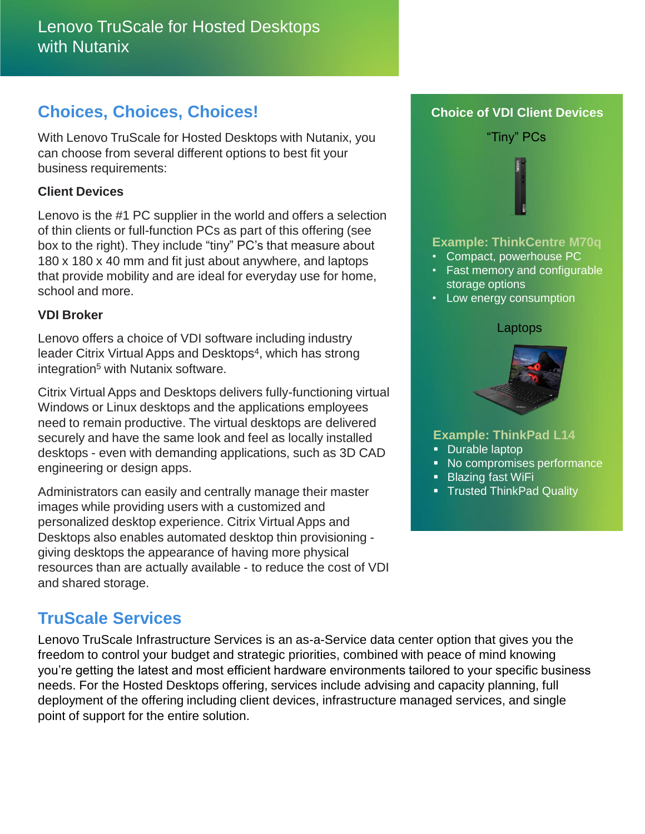#### **Choices, Choices, Choices!**

With Lenovo TruScale for Hosted Desktops with Nutanix, you can choose from several different options to best fit your business requirements:

#### **Client Devices**

Lenovo is the #1 PC supplier in the world and offers a selection of thin clients or full-function PCs as part of this offering (see box to the right). They include "tiny" PC's that measure about 180 x 180 x 40 mm and fit just about anywhere, and laptops that provide mobility and are ideal for everyday use for home, school and more.

#### **VDI Broker**

Lenovo offers a choice of VDI software including industry leader Citrix Virtual Apps and Desktops<sup>4</sup>, which has strong integration<sup>5</sup> with Nutanix software.

Citrix Virtual Apps and Desktops delivers fully-functioning virtual Windows or Linux desktops and the applications employees need to remain productive. The virtual desktops are delivered securely and have the same look and feel as locally installed desktops - even with demanding applications, such as 3D CAD engineering or design apps.

Administrators can easily and centrally manage their master images while providing users with a customized and personalized desktop experience. Citrix Virtual Apps and Desktops also enables automated desktop thin provisioning giving desktops the appearance of having more physical resources than are actually available - to reduce the cost of VDI and shared storage.

## **TruScale Services**

Lenovo TruScale Infrastructure Services is an as-a-Service data center option that gives you the freedom to control your budget and strategic priorities, combined with peace of mind knowing you're getting the latest and most efficient hardware environments tailored to your specific business needs. For the Hosted Desktops offering, services include advising and capacity planning, full deployment of the offering including client devices, infrastructure managed services, and single point of support for the entire solution.

# **Example: ThinkCentre M70q** • Compact, powerhouse PC • Fast memory and configurable storage options • Low energy consumption "Tiny" PCs Laptops

**Choice of VDI Client Devices**



#### **Example: ThinkPad L14**

- Durable laptop
- No compromises performance
- **Blazing fast WiFi**
- **Trusted ThinkPad Quality**